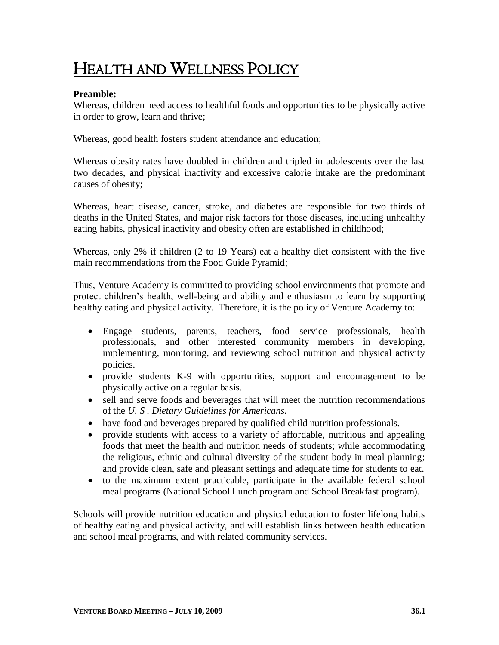# HEALTH AND WELLNESS POLICY

#### **Preamble:**

Whereas, children need access to healthful foods and opportunities to be physically active in order to grow, learn and thrive;

Whereas, good health fosters student attendance and education;

Whereas obesity rates have doubled in children and tripled in adolescents over the last two decades, and physical inactivity and excessive calorie intake are the predominant causes of obesity;

Whereas, heart disease, cancer, stroke, and diabetes are responsible for two thirds of deaths in the United States, and major risk factors for those diseases, including unhealthy eating habits, physical inactivity and obesity often are established in childhood;

Whereas, only 2% if children (2 to 19 Years) eat a healthy diet consistent with the five main recommendations from the Food Guide Pyramid;

Thus, Venture Academy is committed to providing school environments that promote and protect children's health, well-being and ability and enthusiasm to learn by supporting healthy eating and physical activity. Therefore, it is the policy of Venture Academy to:

- Engage students, parents, teachers, food service professionals, health professionals, and other interested community members in developing, implementing, monitoring, and reviewing school nutrition and physical activity policies.
- provide students K-9 with opportunities, support and encouragement to be physically active on a regular basis.
- sell and serve foods and beverages that will meet the nutrition recommendations of the *U. S . Dietary Guidelines for Americans.*
- have food and beverages prepared by qualified child nutrition professionals.
- provide students with access to a variety of affordable, nutritious and appealing foods that meet the health and nutrition needs of students; while accommodating the religious, ethnic and cultural diversity of the student body in meal planning; and provide clean, safe and pleasant settings and adequate time for students to eat.
- to the maximum extent practicable, participate in the available federal school meal programs (National School Lunch program and School Breakfast program).

Schools will provide nutrition education and physical education to foster lifelong habits of healthy eating and physical activity, and will establish links between health education and school meal programs, and with related community services.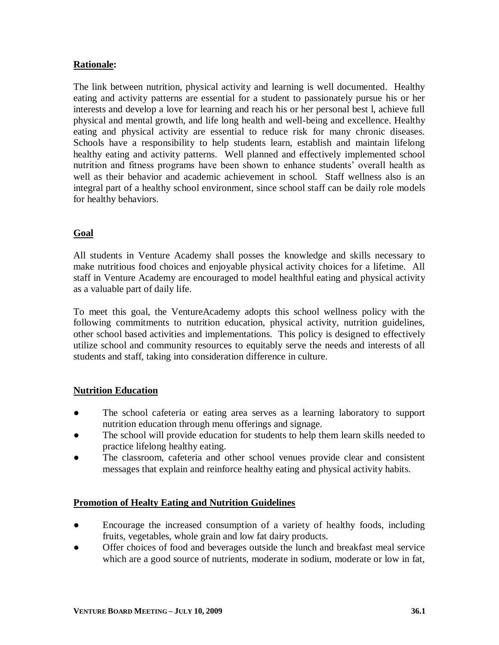## **Rationale:**

The link between nutrition, physical activity and learning is well documented. Healthy eating and activity patterns are essential for a student to passionately pursue his or her interests and develop a love for learning and reach his or her personal best l, achieve full physical and mental growth, and life long health and well-being and excellence. Healthy eating and physical activity are essential to reduce risk for many chronic diseases. Schools have a responsibility to help students learn, establish and maintain lifelong healthy eating and activity patterns. Well planned and effectively implemented school nutrition and fitness programs have been shown to enhance students' overall health as well as their behavior and academic achievement in school. Staff wellness also is an integral part of a healthy school environment, since school staff can be daily role models for healthy behaviors.

## **Goal**

All students in Venture Academy shall posses the knowledge and skills necessary to make nutritious food choices and enjoyable physical activity choices for a lifetime. All staff in Venture Academy are encouraged to model healthful eating and physical activity as a valuable part of daily life.

To meet this goal, the VentureAcademy adopts this school wellness policy with the following commitments to nutrition education, physical activity, nutrition guidelines, other school based activities and implementations. This policy is designed to effectively utilize school and community resources to equitably serve the needs and interests of all students and staff, taking into consideration difference in culture.

#### **Nutrition Education**

- The school cafeteria or eating area serves as a learning laboratory to support nutrition education through menu offerings and signage.
- The school will provide education for students to help them learn skills needed to practice lifelong healthy eating.
- The classroom, cafeteria and other school venues provide clear and consistent messages that explain and reinforce healthy eating and physical activity habits.

#### **Promotion of Healty Eating and Nutrition Guidelines**

- Encourage the increased consumption of a variety of healthy foods, including fruits, vegetables, whole grain and low fat dairy products.
- Offer choices of food and beverages outside the lunch and breakfast meal service which are a good source of nutrients, moderate in sodium, moderate or low in fat,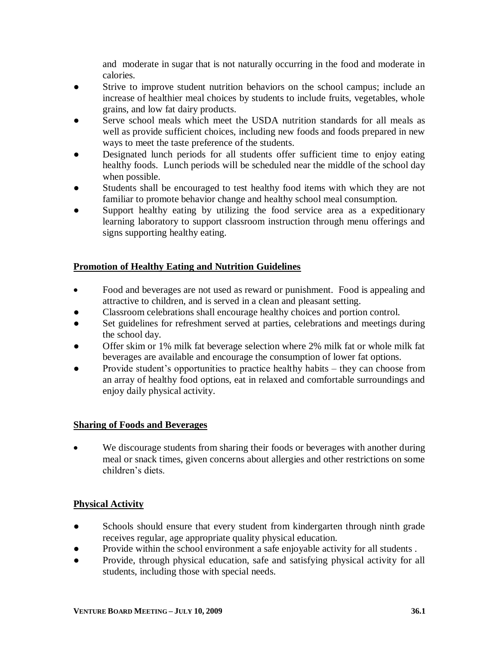and moderate in sugar that is not naturally occurring in the food and moderate in calories.

- Strive to improve student nutrition behaviors on the school campus; include an increase of healthier meal choices by students to include fruits, vegetables, whole grains, and low fat dairy products.
- Serve school meals which meet the USDA nutrition standards for all meals as well as provide sufficient choices, including new foods and foods prepared in new ways to meet the taste preference of the students.
- Designated lunch periods for all students offer sufficient time to enjoy eating healthy foods. Lunch periods will be scheduled near the middle of the school day when possible.
- Students shall be encouraged to test healthy food items with which they are not familiar to promote behavior change and healthy school meal consumption.
- Support healthy eating by utilizing the food service area as a expeditionary learning laboratory to support classroom instruction through menu offerings and signs supporting healthy eating.

# **Promotion of Healthy Eating and Nutrition Guidelines**

- Food and beverages are not used as reward or punishment. Food is appealing and attractive to children, and is served in a clean and pleasant setting.
- Classroom celebrations shall encourage healthy choices and portion control.
- Set guidelines for refreshment served at parties, celebrations and meetings during the school day.
- Offer skim or 1% milk fat beverage selection where 2% milk fat or whole milk fat beverages are available and encourage the consumption of lower fat options.
- Provide student's opportunities to practice healthy habits they can choose from an array of healthy food options, eat in relaxed and comfortable surroundings and enjoy daily physical activity.

## **Sharing of Foods and Beverages**

 We discourage students from sharing their foods or beverages with another during meal or snack times, given concerns about allergies and other restrictions on some children's diets.

## **Physical Activity**

- Schools should ensure that every student from kindergarten through ninth grade receives regular, age appropriate quality physical education.
- Provide within the school environment a safe enjoyable activity for all students .
- Provide, through physical education, safe and satisfying physical activity for all students, including those with special needs.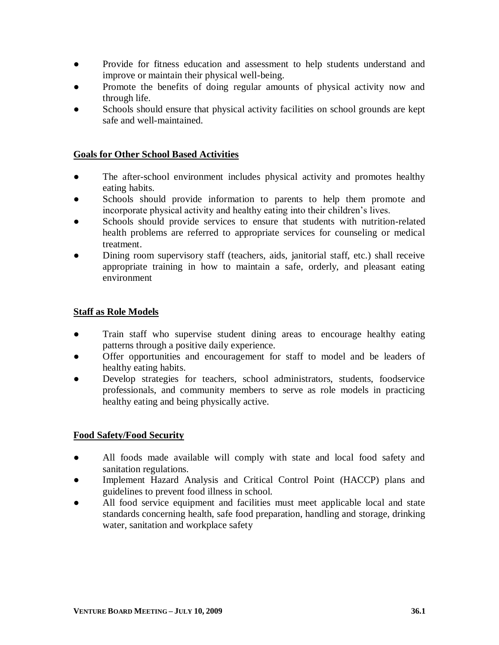- Provide for fitness education and assessment to help students understand and improve or maintain their physical well-being.
- Promote the benefits of doing regular amounts of physical activity now and through life.
- Schools should ensure that physical activity facilities on school grounds are kept safe and well-maintained.

# **Goals for Other School Based Activities**

- The after-school environment includes physical activity and promotes healthy eating habits.
- Schools should provide information to parents to help them promote and incorporate physical activity and healthy eating into their children's lives.
- Schools should provide services to ensure that students with nutrition-related health problems are referred to appropriate services for counseling or medical treatment.
- Dining room supervisory staff (teachers, aids, janitorial staff, etc.) shall receive appropriate training in how to maintain a safe, orderly, and pleasant eating environment

## **Staff as Role Models**

- Train staff who supervise student dining areas to encourage healthy eating patterns through a positive daily experience.
- Offer opportunities and encouragement for staff to model and be leaders of healthy eating habits.
- Develop strategies for teachers, school administrators, students, foodservice professionals, and community members to serve as role models in practicing healthy eating and being physically active.

## **Food Safety/Food Security**

- **●** All foods made available will comply with state and local food safety and sanitation regulations.
- **●** Implement Hazard Analysis and Critical Control Point (HACCP) plans and guidelines to prevent food illness in school.
- All food service equipment and facilities must meet applicable local and state standards concerning health, safe food preparation, handling and storage, drinking water, sanitation and workplace safety